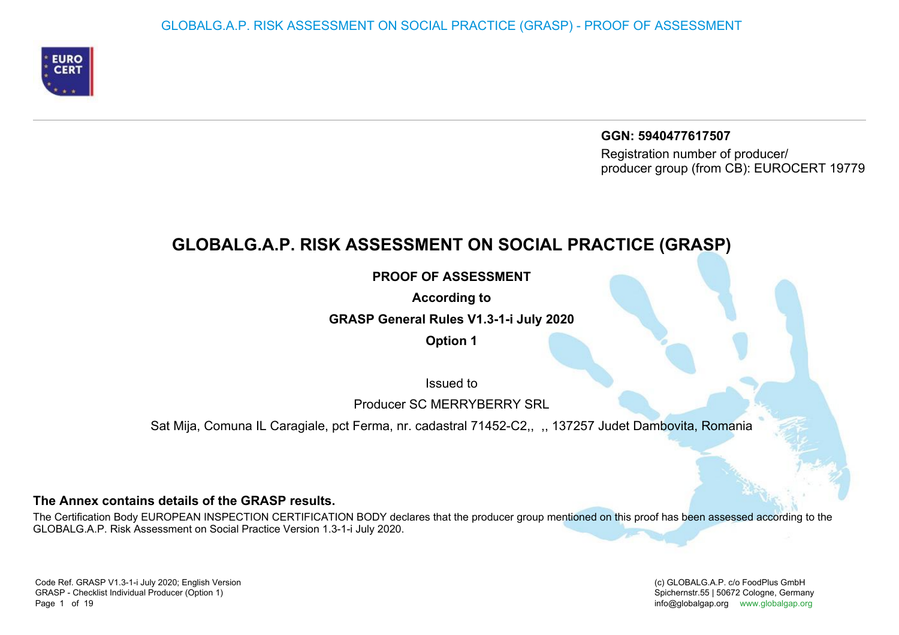

**GGN: 5940477617507** Registration number of producer/producer group (from CB): EUROCERT 19779

# **GLOBALG.A.P. RISK ASSESSMENT ON SOCIAL PRACTICE (GRASP)**

**PROOF OF ASSESSMENT**

**According to**

**GRASP General Rules V1.3-1-i July 2020**

**Option 1**

Issued to

Producer SC MERRYBERRY SRL

Sat Mija, Comuna IL Caragiale, pct Ferma, nr. cadastral 71452-C2,, ,, 137257 Judet Dambovita, Romania

### **The Annex contains details of the GRASP results.**

The Certification Body EUROPEAN INSPECTION CERTIFICATION BODY declares that the producer group mentioned on this proof has been assessed according to theGLOBALG.A.P. Risk Assessment on Social Practice Version 1.3-1-i July 2020.

(c) GLOBALG.A.P. c/o FoodPlus GmbHSpichernstr.55 | 50672 Cologne, Germany